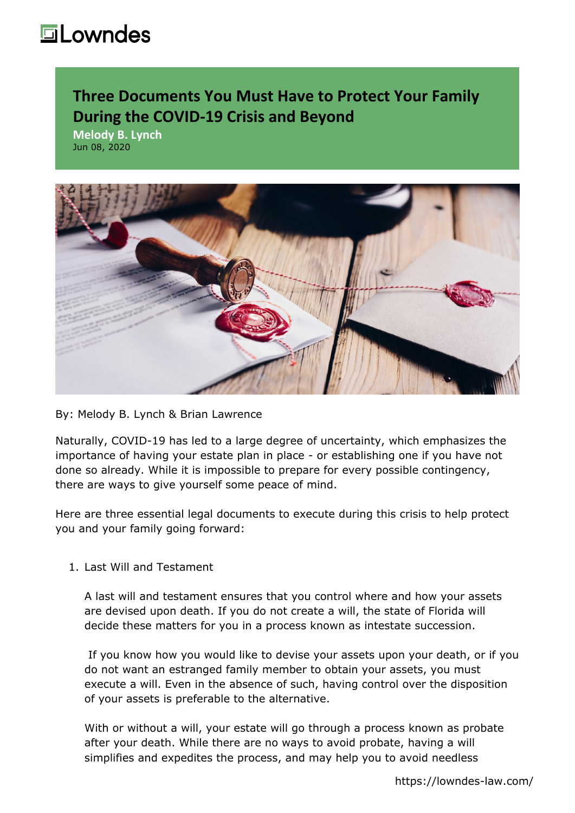## **Lowndes**

## **Three Documents You Must Have to Protect Your Family During the COVID-19 Crisis and Beyond**

**Melody B. Lynch** Jun 08, 2020



## By: [Melody B. Lynch](https://lowndes-law.com/people-detail/client/melody-lynch) & Brian Lawrence

Naturally, COVID-19 has led to a large degree of uncertainty, which emphasizes the importance of having your estate plan in place - or establishing one if you have not done so already. While it is impossible to prepare for every possible contingency, there are ways to give yourself some peace of mind.

Here are three essential legal documents to execute during this crisis to help protect you and your family going forward:

## 1. Last Will and Testament

A last will and testament ensures that you control where and how your assets are devised upon death. If you do not create a will, the state of Florida will decide these matters for you in a process known as intestate succession.

 If you know how you would like to devise your assets upon your death, or if you do not want an estranged family member to obtain your assets, you must execute a will. Even in the absence of such, having control over the disposition of your assets is preferable to the alternative.

With or without a will, your estate will go through a process known as probate after your death. While there are no ways to avoid probate, having a will simplifies and expedites the process, and may help you to avoid needless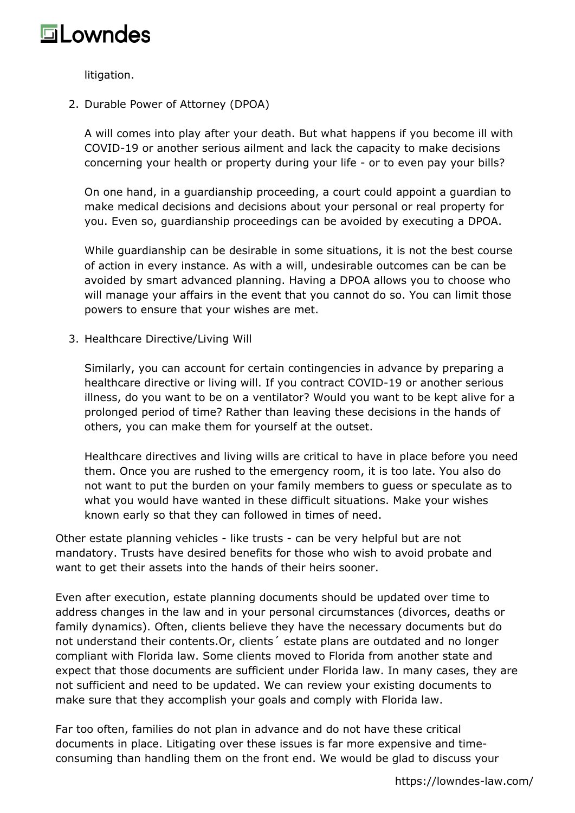

litigation.

2. Durable Power of Attorney (DPOA)

A will comes into play after your death. But what happens if you become ill with COVID-19 or another serious ailment and lack the capacity to make decisions concerning your health or property during your life - or to even pay your bills?

On one hand, in a guardianship proceeding, a court could appoint a guardian to make medical decisions and decisions about your personal or real property for you. Even so, guardianship proceedings can be avoided by executing a DPOA.

While guardianship can be desirable in some situations, it is not the best course of action in every instance. As with a will, undesirable outcomes can be can be avoided by smart advanced planning. Having a DPOA allows you to choose who will manage your affairs in the event that you cannot do so. You can limit those powers to ensure that your wishes are met.

3. Healthcare Directive/Living Will

Similarly, you can account for certain contingencies in advance by preparing a healthcare directive or living will. If you contract COVID-19 or another serious illness, do you want to be on a ventilator? Would you want to be kept alive for a prolonged period of time? Rather than leaving these decisions in the hands of others, you can make them for yourself at the outset.

Healthcare directives and living wills are critical to have in place before you need them. Once you are rushed to the emergency room, it is too late. You also do not want to put the burden on your family members to guess or speculate as to what you would have wanted in these difficult situations. Make your wishes known early so that they can followed in times of need.

Other estate planning vehicles - like trusts - can be very helpful but are not mandatory. Trusts have desired benefits for those who wish to avoid probate and want to get their assets into the hands of their heirs sooner.

Even after execution, estate planning documents should be updated over time to address changes in the law and in your personal circumstances (divorces, deaths or family dynamics). Often, clients believe they have the necessary documents but do not understand their contents.Or, clients´ estate plans are outdated and no longer compliant with Florida law. Some clients moved to Florida from another state and expect that those documents are sufficient under Florida law. In many cases, they are not sufficient and need to be updated. We can review your existing documents to make sure that they accomplish your goals and comply with Florida law.

Far too often, families do not plan in advance and do not have these critical documents in place. Litigating over these issues is far more expensive and timeconsuming than handling them on the front end. We would be glad to discuss your